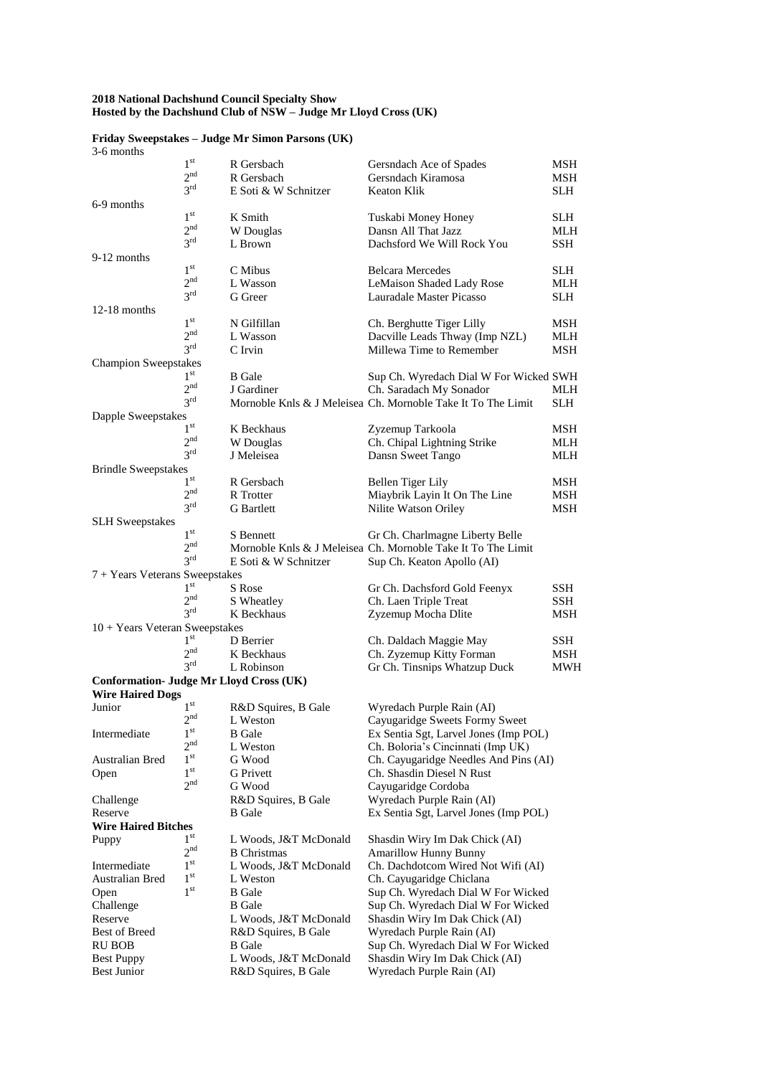### **2018 National Dachshund Council Specialty Show Hosted by the Dachshund Club of NSW – Judge Mr Lloyd Cross (UK)**

| 3-6 months                                     |                 |                       |                                                              |            |
|------------------------------------------------|-----------------|-----------------------|--------------------------------------------------------------|------------|
|                                                | $1^{\rm st}$    | R Gersbach            | Gersndach Ace of Spades                                      | MSH        |
|                                                | 2 <sup>nd</sup> | R Gersbach            | Gersndach Kiramosa                                           | MSH        |
|                                                | $3^{\text{rd}}$ | E Soti & W Schnitzer  | Keaton Klik                                                  | SLH        |
| 6-9 months                                     |                 |                       |                                                              |            |
|                                                | 1 <sup>st</sup> | K Smith               | Tuskabi Money Honey                                          | SLH        |
|                                                | 2 <sup>nd</sup> | W Douglas             | Dansn All That Jazz                                          | MLH        |
|                                                | 3 <sup>rd</sup> | L Brown               | Dachsford We Will Rock You                                   | <b>SSH</b> |
| 9-12 months                                    |                 |                       |                                                              |            |
|                                                | 1 <sup>st</sup> | C Mibus               | <b>Belcara Mercedes</b>                                      | SLH        |
|                                                | 2 <sub>nd</sub> | L Wasson              | LeMaison Shaded Lady Rose                                    | MLH        |
|                                                | $3^{\text{rd}}$ | G Greer               | Lauradale Master Picasso                                     | SLH.       |
| $12-18$ months                                 |                 |                       |                                                              |            |
|                                                | 1 <sup>st</sup> | N Gilfillan           | Ch. Berghutte Tiger Lilly                                    | MSH        |
|                                                | 2 <sup>nd</sup> | L Wasson              | Dacville Leads Thway (Imp NZL)                               | MLH        |
|                                                | $3^{\text{rd}}$ | C Irvin               | Millewa Time to Remember                                     | MSH        |
| <b>Champion Sweepstakes</b>                    |                 |                       |                                                              |            |
|                                                | 1 <sup>st</sup> | <b>B</b> Gale         | Sup Ch. Wyredach Dial W For Wicked SWH                       |            |
|                                                | 2 <sub>nd</sub> | J Gardiner            | Ch. Saradach My Sonador                                      | MLH        |
|                                                | $3^{\text{rd}}$ |                       | Mornoble Knls & J Meleisea Ch. Mornoble Take It To The Limit | <b>SLH</b> |
| Dapple Sweepstakes                             |                 |                       |                                                              |            |
|                                                | $1^{\rm st}$    | K Beckhaus            | Zyzemup Tarkoola                                             | MSH        |
|                                                | 2 <sup>nd</sup> | W Douglas             | Ch. Chipal Lightning Strike                                  | MLH        |
|                                                | 3 <sup>rd</sup> | J Meleisea            | Dansn Sweet Tango                                            | MLH        |
| <b>Brindle Sweepstakes</b>                     |                 |                       |                                                              |            |
|                                                | $1^{\text{st}}$ | R Gersbach            | Bellen Tiger Lily                                            | MSH        |
|                                                | 2 <sub>nd</sub> | R Trotter             | Miaybrik Layin It On The Line                                | MSH        |
|                                                | 3 <sup>rd</sup> | <b>G</b> Bartlett     | Nilite Watson Oriley                                         | MSH        |
| <b>SLH</b> Sweepstakes                         |                 |                       |                                                              |            |
|                                                | $1^\mathrm{st}$ | S Bennett             | Gr Ch. Charlmagne Liberty Belle                              |            |
|                                                | 2 <sup>nd</sup> |                       | Mornoble Knls & J Meleisea Ch. Mornoble Take It To The Limit |            |
|                                                | 3 <sup>rd</sup> | E Soti & W Schnitzer  | Sup Ch. Keaton Apollo (AI)                                   |            |
| 7 + Years Veterans Sweepstakes                 |                 |                       |                                                              |            |
|                                                | $1^{\rm{st}}$   | S Rose                | Gr Ch. Dachsford Gold Feenyx                                 | SSH        |
|                                                | 2 <sub>nd</sub> | S Wheatley            | Ch. Laen Triple Treat                                        | SSH        |
|                                                | $3^{\text{rd}}$ | K Beckhaus            | Zyzemup Mocha Dlite                                          | MSH        |
| 10 + Years Veteran Sweepstakes                 |                 |                       |                                                              |            |
|                                                | 1 <sup>st</sup> | D Berrier             | Ch. Daldach Maggie May                                       | SSH        |
|                                                | 2 <sup>nd</sup> | K Beckhaus            | Ch. Zyzemup Kitty Forman                                     | MSH        |
|                                                | $3^{\text{rd}}$ | L Robinson            | Gr Ch. Tinsnips Whatzup Duck                                 | MWH        |
| <b>Conformation- Judge Mr Lloyd Cross (UK)</b> |                 |                       |                                                              |            |
| <b>Wire Haired Dogs</b>                        |                 |                       |                                                              |            |
| Junior                                         | $1^{\rm{st}}$   | R&D Squires, B Gale   | Wyredach Purple Rain (AI)                                    |            |
|                                                | 2 <sup>nd</sup> | L Weston              | Cayugaridge Sweets Formy Sweet                               |            |
| Intermediate                                   | 1 <sup>st</sup> | B Gale                | Ex Sentia Sgt, Larvel Jones (Imp POL)                        |            |
|                                                | 2 <sup>nd</sup> | L Weston              | Ch. Boloria's Cincinnati (Imp UK)                            |            |
| Australian Bred                                | 1 <sup>st</sup> | G Wood                | Ch. Cayugaridge Needles And Pins (AI)                        |            |
| Open                                           | $1^{\rm st}$    | <b>G</b> Privett      | Ch. Shasdin Diesel N Rust                                    |            |
|                                                | 2 <sup>nd</sup> | G Wood                | Cayugaridge Cordoba                                          |            |
| Challenge                                      |                 | R&D Squires, B Gale   | Wyredach Purple Rain (AI)                                    |            |
| Reserve                                        |                 | <b>B</b> Gale         | Ex Sentia Sgt, Larvel Jones (Imp POL)                        |            |
| <b>Wire Haired Bitches</b>                     |                 |                       |                                                              |            |
| Puppy                                          | $1^{\rm st}$    | L Woods, J&T McDonald | Shasdin Wiry Im Dak Chick (AI)                               |            |
|                                                | 2 <sup>nd</sup> | <b>B</b> Christmas    | <b>Amarillow Hunny Bunny</b>                                 |            |
| Intermediate                                   | $1^{\rm st}$    | L Woods, J&T McDonald | Ch. Dachdotcom Wired Not Wifi (AI)                           |            |
| Australian Bred                                | 1 <sup>st</sup> | L Weston              | Ch. Cayugaridge Chiclana                                     |            |
| Open                                           | 1 <sup>st</sup> | <b>B</b> Gale         | Sup Ch. Wyredach Dial W For Wicked                           |            |
| Challenge                                      |                 | B Gale                | Sup Ch. Wyredach Dial W For Wicked                           |            |
| Reserve                                        |                 | L Woods, J&T McDonald | Shasdin Wiry Im Dak Chick (AI)                               |            |
| Best of Breed                                  |                 | R&D Squires, B Gale   | Wyredach Purple Rain (AI)                                    |            |
| <b>RU BOB</b>                                  |                 | <b>B</b> Gale         | Sup Ch. Wyredach Dial W For Wicked                           |            |
| <b>Best Puppy</b>                              |                 | L Woods, J&T McDonald | Shasdin Wiry Im Dak Chick (AI)                               |            |
| <b>Best Junior</b>                             |                 | R&D Squires, B Gale   | Wyredach Purple Rain (AI)                                    |            |

### **Friday Sweepstakes – Judge Mr Simon Parsons (UK)**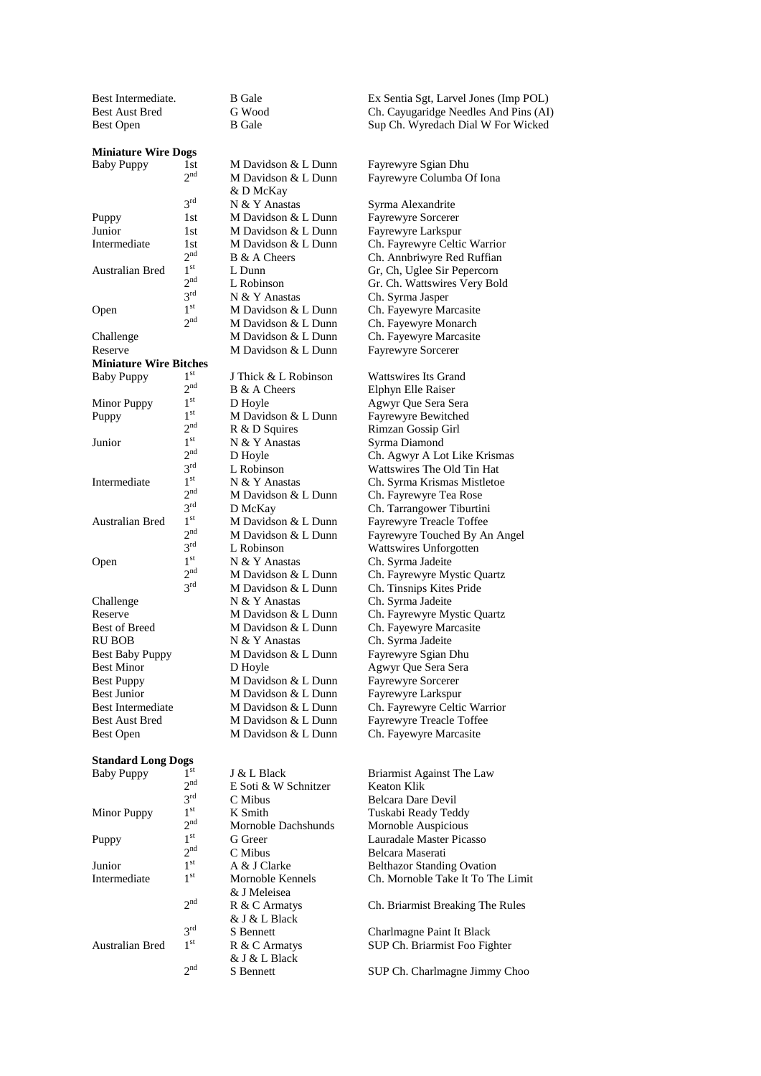Best Intermediate. B Gale B Gale Ex Sentia Sgt, Larvel Jones (Imp POL)

& D McKay<br>N & Y Anastas

#### **Miniature Wire Dogs**

 $2<sup>nd</sup>$  $3<sup>rd</sup>$ Puppy 1st M Davidson & L Dunn Fayrewyre Sorcerer<br>
Junior 1st M Davidson & L Dunn Favrewyre Larkspur Junior 1st M Davidson & L Dunn Fayrewyre Larkspur<br>Intermediate 1st M Davidson & L Dunn Ch. Fayrewyre Celtic  $2<sub>nt</sub><sup>nd</sup>$ <br> $1<sup>st</sup>$ Australian Bred 1  $2<sup>nd</sup>$  $3^{rd}$ <br> $1^{st}$ **Open**  $2<sup>nd</sup>$ Reserve M Davidson & L Dunn Fayrewyre Sorcerer **Miniature Wire Bitches** Baby Puppy  $1<sup>st</sup>$  $\frac{2^{nd}}{1^{st}}$ Minor Puppy  $1^{st}$ <br>Puppy  $1^{st}$ Puppy  $2<sup>nd</sup>$ <br> $1<sup>st</sup>$ Junior 1  $2<sup>nd</sup>$  $3^{rd}$ <br> $1^{st}$ **Intermediate**  $2<sup>nd</sup>$  $3^{rd}$ <br> $1^{st}$ Australian Bred 1  $2<sup>nd</sup>$  $3^{rd}$ <br> $1^{st}$ **Open**  $2<sup>nd</sup>$  $3<sup>rd</sup>$ Challenge N & Y Anastas Ch. Syrma Jadeite Best Puppy M Davidson & L Dunn Fayrewyre Sorcerer<br>Best Junior M Davidson & L Dunn Fayrewyre Larkspur Best Junior M Davidson & L Dunn<br>Best Intermediate M Davidson & L Dunn Best Open M Davidson & L Dunn Ch. Fayewyre Marcasite

## **Standard Long Dogs**

Baby Puppy 1  $2<sup>nd</sup>$ E Soti & W Schnitzer Keaton Klik  $3^{rd}$ <br> $1^{st}$ C Mibus Belcara Dare Devil Minor Puppy K Smith Tuskabi Ready Teddy  $2^{\rm nd} \\ 1^{\rm st}$ Mornoble Dachshunds Mornoble Auspicious Puppy  $2<sup>nd</sup>$ <br> $1<sup>st</sup>$ C Mibus Belcara Maserati<br>A & J Clarke Belthazor Standi Junior 1<sup>st</sup><br>Intermediate <sup>1st</sup> **Intermediate** & J Meleisea  $2<sub>nd</sub>$ R & C Armatys Ch. Briarmist Breaking The Rules & J & L Black  $3^{rd}$ <br> $1^{st}$ Australian Bred 1 & J & L Black  $2<sub>nd</sub>$ 

M Davidson & L Dunn

Best Aust Bred G Wood Ch. Cayugaridge Needles And Pins (AI) Best Open B Gale B Gale Sup Ch. Wyredach Dial W For Wicked

Baby Puppy 1st M Davidson & L Dunn Fayrewyre Sgian Dhu<br>2<sup>nd</sup> M Davidson & L Dunn Fayrewyre Columba C Fayrewyre Columba Of Iona

Syrma Alexandrite 1st M Davidson & L Dunn Ch. Fayrewyre Celtic Warrior B & A Cheers Ch. Annbriwyre Red Ruffian<br>
L Dunn Gr. Ch. Uglee Sir Penercorn Gr, Ch, Uglee Sir Pepercorn L Robinson Gr. Ch. Wattswires Very Bold N & Y Anastas Ch. Syrma Jasper M Davidson & L Dunn Ch. Fayewyre Marcasite M Davidson & L Dunn Ch. Fayewyre Monarch Challenge M Davidson & L Dunn Ch. Fayewyre Marcasite

J Thick & L Robinson Wattswires Its Grand B & A Cheers Elphyn Elle Raiser D Hoyle Agwyr Que Sera Sera  $M$  Davidson & L Dunn Fayrewyre Bewitched R & D Squires Rimzan Gossip Girl N & Y Anastas Syrma Diamond D Hoyle Ch. Agwyr A Lot Like Krismas L Robinson Wattswires The Old Tin Hat<br>N & Y Anastas Ch. Syrma Krismas Mistletoe Ch. Syrma Krismas Mistletoe M Davidson & L Dunn Ch. Fayrewyre Tea Rose D McKay Ch. Tarrangower Tiburtini M Davidson & L Dunn Fayrewyre Treacle Toffee M Davidson & L Dunn Fayrewyre Touched By An Angel L Robinson Wattswires Unforgotten N & Y Anastas Ch. Syrma Jadeite M Davidson & L Dunn Ch. Fayrewyre Mystic Quartz M Davidson & L Dunn Ch. Tinsnips Kites Pride Reserve M Davidson & L Dunn Ch. Fayrewyre Mystic Quartz Best of Breed M Davidson & L Dunn Ch. Fayewyre Marcasite RU BOB N & Y Anastas Ch. Syrma Jadeite<br>Best Baby Puppy M Davidson & L Dunn Fayrewyre Sgian Dhu Best Minor D Hoyle Agwyr Que Sera Sera Best Intermediate M Davidson & L Dunn Ch. Fayrewyre Celtic Warrior Best Aust Bred M Davidson & L Dunn Fayrewyre Treacle Toffee

> J & L Black Briarmist Against The Law G Greer Lauradale Master Picasso A & J Clarke Belthazor Standing Ovation<br>Mornoble Kennels Ch. Mornoble Take It To Th Ch. Mornoble Take It To The Limit

S Bennett Charlmagne Paint It Black R & C Armatys SUP Ch. Briarmist Foo Fighter

S Bennett SUP Ch. Charlmagne Jimmy Choo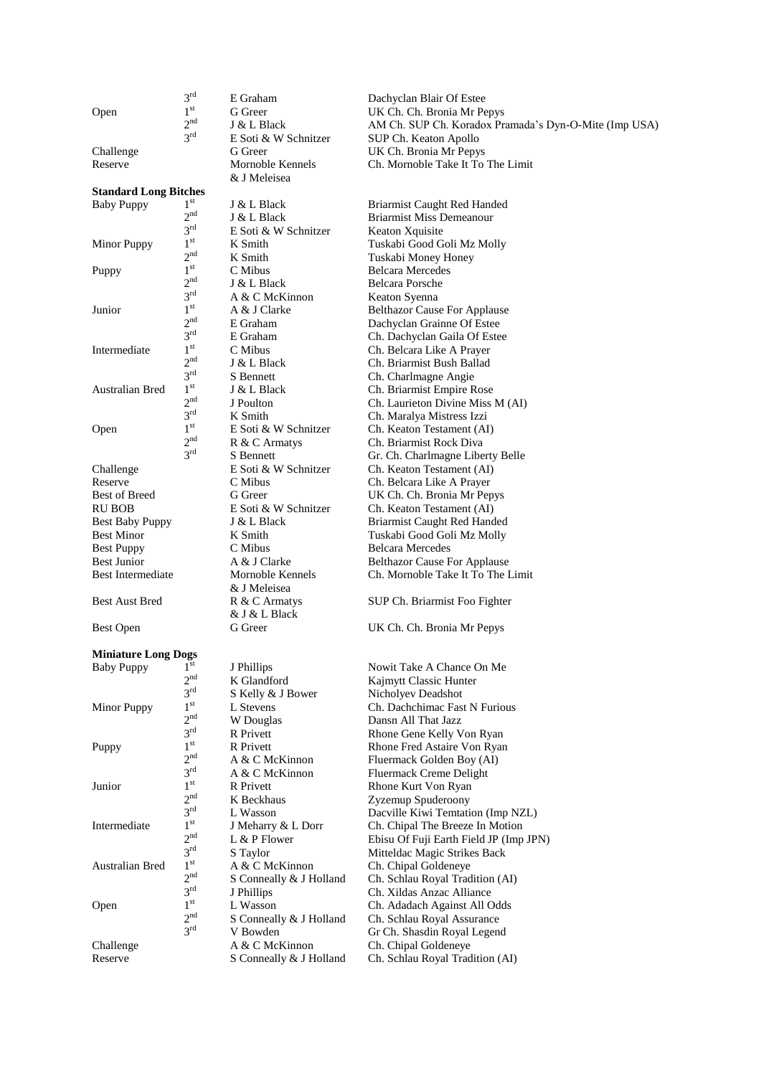**Open** 

 $3^{rd}$ <br> $1^{st}$ 

 $2<sub>nd</sub>$ 

 $2rd$ 

& J Meleisea

& J Meleisea

& J & L Black

 ${\rm E}$  Soti & W Schnitzer K Smith

## **Standard Long Bitches** Baby Puppy  $1<sup>st</sup>$  $2<sub>nd</sub>$  $3^{\rm rd} \over 1^{\rm st}$ Minor Puppy  $2<sub>1</sub><sup>nd</sup>$ <br> $1<sup>st</sup>$ Puppy  $2<sup>nd</sup>$  $3^{rd}$ <br> $1^{st}$ **Junior**  $2<sup>nd</sup>$  $3^{rd}$ <br> $1^{st}$ **Intermediate**  $2<sup>nd</sup>$  $3^{rd}$ <br> $1^{st}$ Australian Bred 1  $2<sup>nd</sup>$  $3^{rd}$ <br> $1^{st}$ **Open**  $2<sup>nd</sup>$  $3<sup>rd</sup>$ Best Puppy C Mibus Belcara Mercedes

## **Miniature Long Dogs**

| <b>Baby Puppy</b> | $1^{\rm st}$    | J Phillips             |
|-------------------|-----------------|------------------------|
|                   | 2 <sup>nd</sup> | K Glandford            |
|                   | $2^{rd}$        | S Kelly & J Bower      |
| Minor Puppy       | 1 <sup>st</sup> | L Stevens              |
|                   | 2 <sub>nd</sub> | W Douglas              |
|                   | $3^{\text{rd}}$ | <b>R</b> Privett       |
| Puppy             | 1 <sup>st</sup> | <b>R</b> Privett       |
|                   | 2 <sub>nd</sub> | A & C McKinnon         |
|                   | $3^{\text{rd}}$ | A & C McKinnon         |
| Junior            | 1 <sup>st</sup> | <b>R</b> Privett       |
|                   | 2 <sub>nd</sub> | K Beckhaus             |
|                   | $3^{\text{rd}}$ | L Wasson               |
| Intermediate      | 1 <sup>st</sup> | J Meharry & L Dorr     |
|                   | 2 <sub>nd</sub> | L & P Flower           |
|                   | $3^{\text{rd}}$ | S Taylor               |
| Australian Bred   | 1 <sup>st</sup> | A & C McKinnon         |
|                   | 2 <sup>nd</sup> | S Conneally & J Hollar |
|                   | $3^{\text{rd}}$ | J Phillips             |
| Open              | 1 <sup>st</sup> | L Wasson               |
|                   | 2 <sup>nd</sup> | S Conneally & J Hollar |
|                   | $3^{\text{rd}}$ | V Bowden               |
| Challenge         |                 | A & C McKinnon         |
| Reserve           |                 | S Conneally & J Hollar |

E Graham Dachyclan Blair Of Estee St Greer UK Ch. Ch. Bronia Mr Pepys<br>
J & L Black AM Ch. SUP Ch. Koradox Pra  $J & L$  Black AM Ch. SUP Ch. Koradox Pramada's Dyn-O-Mite (Imp USA)<br>E Soti & W Schnitzer SUP Ch. Keaton Apollo SUP Ch. Keaton Apollo Challenge G Greer UK Ch. Bronia Mr Pepys Reserve Mornoble Kennels Ch. Mornoble Take It To The Limit

J & L Black Briarmist Caught Red Handed **J & L Black** Briarmist Miss Demeanour<br> **E** Soti & W Schnitzer Keaton Xquisite Tuskabi Good Goli Mz Molly K Smith Tuskabi Money Honey<br>C Mibus Belcara Mercedes Belcara Mercedes J & L Black Belcara Porsche A & C McKinnon Keaton Syenna A & J Clarke Belthazor Cause For Applause E Graham Dachyclan Grainne Of Estee E Graham Ch. Dachyclan Gaila Of Estee<br>
Ch. Belcara Like A Praver Ch. Belcara Like A Prayer J & L Black Ch. Briarmist Bush Ballad S Bennett Ch. Charlmagne Angie **Solution** State Ch. Briarmist Empire Rose<br>
Solution<br>
State Ch. Laurieton Divine Miss Ch. Laurieton Divine Miss M (AI) **K Smith** Ch. Maralya Mistress Izzi E Soti & W Schnitzer Ch. Keaton Testament (AI)<br>R & C Armatys Ch. Briarmist Rock Diva Ch. Briarmist Rock Diva S Bennett Gr. Ch. Charlmagne Liberty Belle Challenge E Soti & W Schnitzer Ch. Keaton Testament (AI)<br>
Reserve C Mibus Ch. Belcara Like A Praver Reserve C Mibus C Mibus Ch. Belcara Like A Prayer<br>
Reserve G Greer C CH. Ch. Ch. Ch. Ch. Bronia Mr Per G Greer UK Ch. Ch. Bronia Mr Pepys RU BOB E Soti & W Schnitzer Ch. Keaton Testament (AI) Best Baby Puppy J & L Black Briarmist Caught Red Handed Best Minor K Smith Tuskabi Good Goli Mz Molly Best Junior **A** & J Clarke **Belthazor Cause For Applause** Best Intermediate Mornoble Kennels Ch. Mornoble Take It To The Limit

Best Aust Bred R & C Armatys SUP Ch. Briarmist Foo Fighter

Best Open G Greer UK Ch. Ch. Bronia Mr Pepys

**Solution** J Phillips Nowit Take A Chance On Me Kaimytt Classic Hunter Nicholyev Deadshot Ch. Dachchimac Fast N Furious Dansn All That Jazz Rhone Gene Kelly Von Ryan Rhone Fred Astaire Von Ryan Fluermack Golden Boy (AI) Fluermack Creme Delight Rhone Kurt Von Ryan Zyzemup Spuderoony Dacville Kiwi Temtation (Imp NZL) Ch. Chipal The Breeze In Motion Ebisu Of Fuji Earth Field JP (Imp JPN) Mitteldac Magic Strikes Back Ch. Chipal Goldeneye nd Ch. Schlau Royal Tradition (AI) Ch. Xildas Anzac Alliance Ch. Adadach Against All Odds d Ch. Schlau Royal Assurance Gr Ch. Shasdin Royal Legend Ch. Chipal Goldeneye d Ch. Schlau Royal Tradition (AI)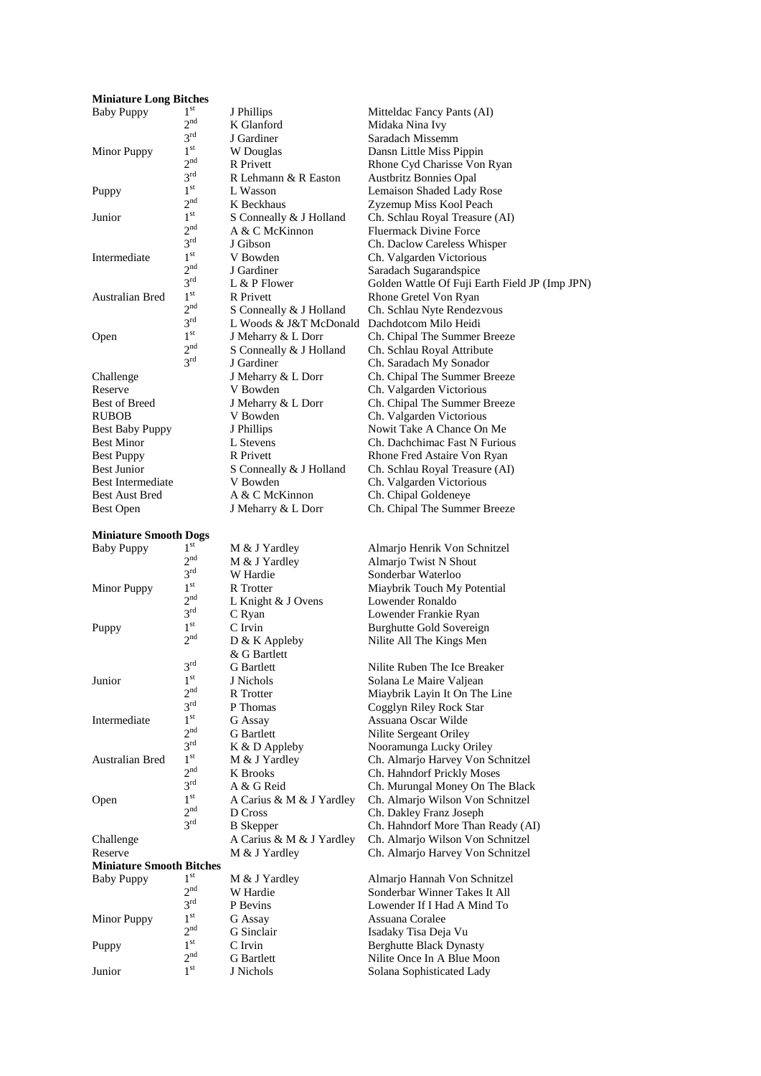#### **Miniature Long Bitches** Baby Puppy 1

| Davy 1 uppy                                 |                 |
|---------------------------------------------|-----------------|
|                                             | 2 <sup>nd</sup> |
|                                             | $3^{rd}$        |
| Minor Puppy                                 | 1 <sup>st</sup> |
|                                             | 2 <sup>nd</sup> |
|                                             | $3^{\text{rd}}$ |
| Puppy                                       | 1 <sup>st</sup> |
|                                             | 2 <sup>nd</sup> |
| Junior                                      | 1 <sup>st</sup> |
|                                             | 2 <sup>nd</sup> |
|                                             | $3^{\text{rd}}$ |
| Intermediate                                | 1 <sup>st</sup> |
|                                             | $2^{nc}$        |
|                                             | 3 <sup>rd</sup> |
| <b>Australian Bred</b>                      | 1 <sup>st</sup> |
|                                             | 2 <sup>nd</sup> |
|                                             | 3 <sup>rd</sup> |
|                                             | 1 <sup>st</sup> |
| Open                                        |                 |
|                                             | 2 <sup>nd</sup> |
|                                             | 3 <sup>rd</sup> |
| Challenge                                   |                 |
| Reserve                                     |                 |
| <b>Best of Breed</b>                        |                 |
| <b>RUBOB</b>                                |                 |
| <b>Best Baby Puppy</b>                      |                 |
| <b>Best Minor</b>                           |                 |
| <b>Best Puppy</b>                           |                 |
| <b>Best Junior</b>                          |                 |
| <b>Best Intermediate</b>                    |                 |
| <b>Best Aust Bred</b>                       |                 |
| $\mathbf{D}_{\alpha}$ $\mathbf{D}_{\alpha}$ |                 |

## **Miniature Smooth Dogs**

Puppy

**Junior** 

**Open** 

Puppy

**Junior** 

 $2<sub>st</sub><sup>nd</sup>$ 

J Phillips Mitteldac Fancy Pants (AI) K Glanford Midaka Nina Ivy J Gardiner Saradach Missemm W Douglas Dansn Little Miss Pippin R Privett Rhone Cyd Charisse Von Ryan R Lehmann & R Easton Austbritz Bonnies Opal<br>
L Wasson Lemaison Shaded Ladv st L Wasson Lemaison Shaded Lady Rose S Conneally & J Holland Ch. Schlau Royal Treasure (AI)<br>A & C McKinnon Fluermack Divine Force A & C McKinnon Fluermack Divine Force<br>J Gibson Ch. Daclow Careless Wh V Bowden Ch. Valgarden Victorious<br>
J Gardiner Saradach Sugarandspice R Privett Rhone Gretel Von Ryan S Conneally & J Holland Ch. Schlau Nyte Rendezvous L Woods & J&T McDonald Dachdotcom Milo Heidi J Meharry & L Dorr Ch. Chipal The Summer Breeze S Conneally & J Holland Ch. Schlau Royal Attribute J Gardiner Ch. Saradach My Sonador J Meharry & L Dorr Ch. Chipal The Summer Breeze V Bowden Ch. Valgarden Victorious<br>J Meharry & L Dorr Ch. Chipal The Summer B V Bowden Ch. Valgarden Victorious<br>
J Phillips Nowit Take A Chance On **Bulliphy** J Phillips Nowit Take A Chance On Me<br>
Ch. Dachchimac Fast N Furior R Privett Rhone Fred Astaire Von Ryan S Conneally & J Holland Ch. Schlau Royal Treasure (AI) V Bowden Ch. Valgarden Victorious A & C McKinnon Ch. Chipal Goldeneye

#### Baby Puppy 1st M & J Yardley Almarjo Henrik Von Schnitzel  $2<sup>nd</sup>$ M & J Yardley Almarjo Twist N Shout  $3^{rd}$ <br> $1^{st}$ W Hardie Sonderbar Waterloo Minor Puppy R Trotter Miaybrik Touch My Potential  $2<sup>nd</sup>$ L Knight & J Ovens Lowender Ronaldo  $3^{rd}$ <br> $1^{st}$ C Ryan Lowender Frankie Ryan C Irvin Burghutte Gold Sovereign  $2<sup>nd</sup>$ D & K Appleby Nilite All The Kings Men & G Bartlett  $3^{rd}$ <br> $1^{st}$ J Nichols Solana Le Maire Valjean<br>R Trotter Miaybrik Lavin It On The  $2<sup>nd</sup>$  $3^{rd}$ <br> $1^{st}$ P Thomas Cogglyn Riley Rock Star Intermediate G Assay Assuana Oscar Wilde  $2<sub>nd</sub>$ G Bartlett **Nilite Sergeant Oriley**<br>
K & D Appleby **Nooramunga Lucky O**  $3^{rd}$ <br> $1^{st}$ Australian Bred 1 M & J Yardley Ch. Almarjo Harvey Von Schnitzel  $2<sup>nd</sup>$ K Brooks Ch. Hahndorf Prickly Moses  $3^{\rm rd} \over 1^{\rm st}$ A & G Reid Ch. Murungal Money On The Black A Carius & M & J Yardley Ch. Almarjo Wilson Von Schnitzel  $2<sup>nd</sup>$ D Cross Ch. Dakley Franz Joseph B Skepper Ch. Hahndorf More Than 3rd Challenge A Carius & M & J Yardley Ch. Almarjo Wilson Von Schnitzel Reserve M & J Yardley Ch. Almarjo Harvey Von Schnitzel **Miniature Smooth Bitches** Baby Puppy 1<sup>st</sup> M & J Yardley Almarjo Hannah Von Schnitzel  $2^{\text{nd}}$ W Hardie Sonderbar Winner Takes It All<br>P Revins I owender If I Had A Mind To  $3^{\rm rd} \over 1^{\rm st}$ Minor Puppy G Assay Assuana Coralee  $\frac{2^{nd}}{1^{st}}$ G Sinclair Isadaky Tisa Deja Vu

Zyzemup Miss Kool Peach Ch. Daclow Careless Whisper Saradach Sugarandspice L & P Flower Golden Wattle Of Fuji Earth Field JP (Imp JPN) Ch. Chipal The Summer Breeze Ch. Dachchimac Fast N Furious Best Open J Meharry & L Dorr Ch. Chipal The Summer Breeze

Nilite Ruben The Ice Breaker Miaybrik Layin It On The Line Nooramunga Lucky Oriley Ch. Hahndorf More Than Ready (AI)

Lowender If I Had A Mind To C Irvin Berghutte Black Dynasty G Bartlett Nilite Once In A Blue Moon J Nichols Solana Sophisticated Lady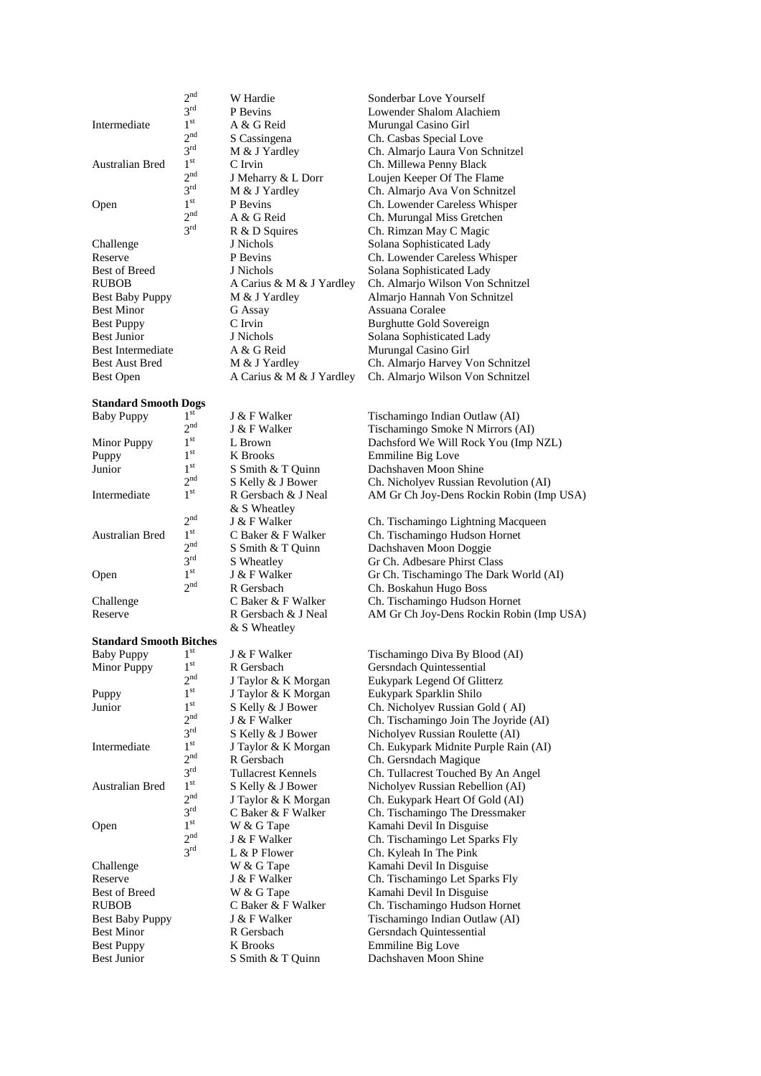Intermediate

 $2<sup>nd</sup>$ 

 $3^{rd}$ <br> $1^{st}$ 

 $2<sub>nd</sub>$ 

 $3^{rd}$ <br> $1^{st}$ 

 $2<sup>nd</sup>$ 

 $3^{rd}$ <br> $1^{st}$ 

 $2<sup>nd</sup>$ 

 $3<sup>rd</sup>$ 

Australian Bred 1

**Open** 

#### **Standard Smooth Dogs**

| <b>Baby Puppy</b>  | 1 <sup>st</sup> |
|--------------------|-----------------|
|                    | $2^n$           |
| <b>Minor Puppy</b> | 1 <sup>st</sup> |
| Puppy              | 1 <sup>st</sup> |
| Junior             | 1 <sup>st</sup> |
|                    | $2^n$           |
| Intermediate       | 1 <sup>st</sup> |
|                    |                 |
|                    | $2^n$           |
| Australian Bred    | 1 <sup>st</sup> |
|                    | $2^n$           |
|                    | $3^{\text{r}}$  |
| Open               | 1 <sup>st</sup> |
|                    | $2^n$           |
| Challenge          |                 |
|                    |                 |

#### **Standard Smooth Bitches**

| <b>Baby Puppy</b>      | 1 <sup>st</sup> |
|------------------------|-----------------|
| Minor Puppy            | 1 <sup>st</sup> |
|                        | 2 <sup>nd</sup> |
| Puppy                  | 1 <sup>st</sup> |
| Junior                 | 1 <sup>st</sup> |
|                        | 2 <sup>nd</sup> |
|                        | 3 <sup>rd</sup> |
| Intermediate           | 1 <sup>st</sup> |
|                        | 2 <sup>nd</sup> |
|                        | $3^{\text{rd}}$ |
| <b>Australian Bred</b> | 1 <sup>st</sup> |
|                        | 2 <sup>nd</sup> |
|                        | 3 <sup>rd</sup> |
| Open                   | 1 <sup>st</sup> |
|                        | 2 <sup>nd</sup> |
|                        | 3 <sup>rd</sup> |
| Challenge              |                 |
| Reserve                |                 |
| <b>Best of Breed</b>   |                 |
| <b>RUBOB</b>           |                 |
| <b>Best Baby Puppy</b> |                 |
| <b>Best Minor</b>      |                 |
| <b>Best Puppy</b>      |                 |
| <b>Best Junior</b>     |                 |
|                        |                 |

W Hardie Sonderbar Love Yourself A & G Reid Murungal Casino Girl Best Minor G Assay Assuana Coralee A & G Reid Murungal Casino Girl

& S Wheatley

P Bevins Lowender Shalom Alachiem S Cassingena Ch. Casbas Special Love M & J Yardley Ch. Almario Laura Von Schnitzel C Irvin Ch. Millewa Penny Black J Meharry & L Dorr Loujen Keeper Of The Flame<br>M & J Yardley Ch. Almarjo Ava Von Schnitz M & J Yardley Ch. Almarjo Ava Von Schnitzel<br>P Bevins Ch. Lowender Careless Whisper Ch. Lowender Careless Whisper A & G Reid Ch. Murungal Miss Gretchen R & D Squires Ch. Rimzan May C Magic Challenge J Nichols J Nichols Solana Sophisticated Lady Reserve P Bevins Ch. Lowender Careless Whisper<br>
Reserve P Bevins Ch. Lowender Careless Whisper<br>
Solana Sophisticated Lady J Nichols Solana Sophisticated Lady RUBOB A Carius & M & J Yardley Ch. Almarjo Wilson Von Schnitzel Best Baby Puppy M & J Yardley Almarjo Hannah Von Schnitzel Best Puppy C Irvin Burghutte Gold Sovereign Best Junior J Nichols Solana Sophisticated Lady<br>Best Intermediate A & G Reid Murungal Casino Girl Best Aust Bred M & J Yardley Ch. Almarjo Harvey Von Schnitzel Best Open A Carius & M & J Yardley Ch. Almarjo Wilson Von Schnitzel

> K Brooks Emmiline Big Love s Smith & T Quinn Bachshaven Moon Shine<br>S Kelly & J Bower Ch. Nicholyev Russian R & S Wheatley  $J \& F$  Walker Ch. Tischamingo Lightning Macqueen <sup>nd</sup> S Smith & T Quinn Dachshaven Moon Doggie<br>S Wheatley Gr Ch. Adbesare Phirst Cla

R Gersbach Gersndach Quintessential J Taylor & K Morgan Eukypark Legend Of Glitterz J Taylor & K Morgan Eukypark Sparklin Shilo R Gersbach Ch. Gersndach Magique W & G Tape Kamahi Devil In Disguise L & P Flower Ch. Kyleah In The Pink W & G Tape Kamahi Devil In Disguise<br>
J & F Walker Ch. Tischamingo Let Spar W & G Tape Kamahi Devil In Disguise<br>C Baker & F Walker Ch. Tischamingo Hudson R Gersbach Gersndach Quintessential K Brooks Emmiline Big Love S Smith & T Quinn Dachshaven Moon Shine

<sup>st</sup> J & F Walker Tischamingo Indian Outlaw (AI)<br>J & F Walker Tischamingo Smoke N Mirrors ( Tischamingo Smoke N Mirrors (AI) L Brown Dachsford We Will Rock You (Imp NZL) Ch. Nicholyev Russian Revolution (AI) R Gersbach & J Neal AM Gr Ch Joy-Dens Rockin Robin (Imp USA)

 $\begin{array}{ccc}\n \text{c} & \text{c} & \text{c} & \text{c} & \text{c} & \text{c} & \text{c} & \text{c} & \text{c} & \text{c} & \text{c} & \text{c} & \text{c} & \text{c} & \text{c} & \text{c} & \text{c} & \text{c} & \text{c} & \text{c} & \text{c} & \text{c} & \text{c} & \text{c} & \text{c} & \text{c} & \text{c} & \text{c} & \text{c} & \text{c} & \text{c} & \text{c} & \text{c} & \text{c} & \text{c} & \text$ Gr Ch. Adbesare Phirst Class  $\frac{1}{s}$  J & F Walker Gr Ch. Tischamingo The Dark World (AI) R Gersbach Ch. Boskahun Hugo Boss C Baker & F Walker Ch. Tischamingo Hudson Hornet Reserve R Gersbach & J Neal AM Gr Ch Joy-Dens Rockin Robin (Imp USA)

> J & F Walker Tischamingo Diva By Blood (AI) S Kelly & J Bower Ch. Nicholyev Russian Gold (AI) J & F Walker Ch. Tischamingo Join The Joyride (AI)<br>S Kelly & J Bower Nicholyev Russian Roulette (AI) S Kelly & J Bower Nicholyev Russian Roulette (AI)<br>
> J Taylor & K Morgan Ch. Eukypark Midnite Purple Rai Ch. Eukypark Midnite Purple Rain (AI) Tullacrest Kennels Ch. Tullacrest Touched By An Angel S Kelly & J Bower Nicholyev Russian Rebellion (AI) J Taylor & K Morgan Ch. Eukypark Heart Of Gold (AI)  $C$  Baker  $&$  F Walker Ch. Tischamingo The Dressmaker J & F Walker Ch. Tischamingo Let Sparks Fly Ch. Tischamingo Let Sparks Fly C Baker & F Walker Ch. Tischamingo Hudson Hornet<br>  $I < F$  Walker Tischamingo Indian Outlaw (AI) Tischamingo Indian Outlaw (AI)